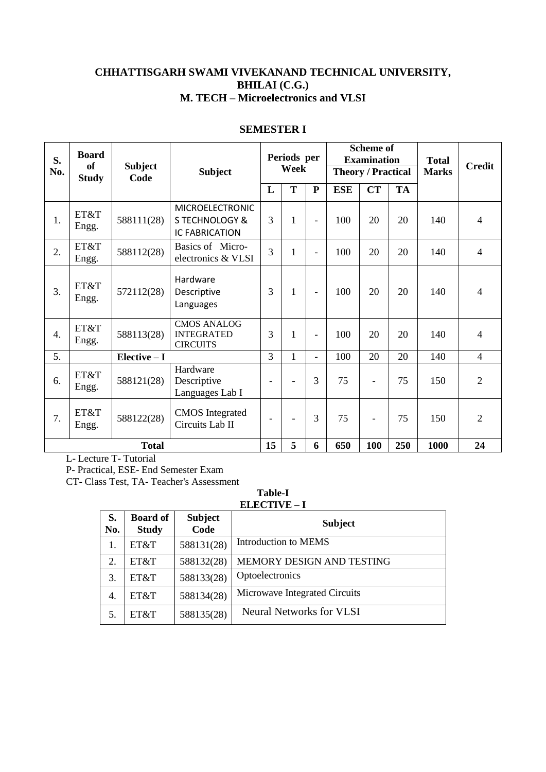### **CHHATTISGARH SWAMI VIVEKANAND TECHNICAL UNIVERSITY, BHILAI (C.G.) M. TECH – Microelectronics and VLSI**

| S.<br>No.    | <b>Board</b><br><b>of</b><br><b>Study</b> | <b>Subject</b><br>Code                                                             | <b>Subject</b>                                             |                          | Periods per<br>Week |                          |            | <b>Scheme of</b><br><b>Examination</b><br><b>Theory / Practical</b> |           | <b>Total</b><br><b>Marks</b> | <b>Credit</b>  |
|--------------|-------------------------------------------|------------------------------------------------------------------------------------|------------------------------------------------------------|--------------------------|---------------------|--------------------------|------------|---------------------------------------------------------------------|-----------|------------------------------|----------------|
|              |                                           |                                                                                    |                                                            | L                        | T                   | ${\bf P}$                | <b>ESE</b> | <b>CT</b>                                                           | <b>TA</b> |                              |                |
| 1.           | ET&T<br>Engg.                             | <b>MICROELECTRONIC</b><br>588111(28)<br><b>STECHNOLOGY &amp;</b><br>IC FABRICATION |                                                            | 3                        | 1                   | $\overline{\phantom{0}}$ | 100        | 20                                                                  | 20        | 140                          | 4              |
| 2.           | ET&T<br>Engg.                             | 588112(28)                                                                         | Basics of Micro-<br>electronics & VLSI                     |                          | 1                   | $\overline{\phantom{0}}$ | 100        | 20                                                                  | 20        | 140                          | $\overline{4}$ |
| 3.           | ET&T<br>Engg.                             | 572112(28)                                                                         | Hardware<br>Descriptive<br>Languages                       | 3                        | 1                   | $\overline{\phantom{a}}$ | 100        | 20                                                                  | 20        | 140                          | $\overline{4}$ |
| 4.           | ET&T<br>Engg.                             | 588113(28)                                                                         | <b>CMOS ANALOG</b><br><b>INTEGRATED</b><br><b>CIRCUITS</b> | 3                        | 1                   | $\overline{\phantom{0}}$ | 100        | 20                                                                  | 20        | 140                          | 4              |
| 5.           |                                           | Elective - I                                                                       |                                                            | $\overline{3}$           | $\mathbf{1}$        | $\overline{\phantom{0}}$ | 100        | 20                                                                  | 20        | 140                          | $\overline{4}$ |
| 6.           | ET&T<br>Engg.                             | 588121(28)                                                                         | Hardware<br>Descriptive<br>Languages Lab I                 |                          |                     | 3                        | 75         |                                                                     | 75        | 150                          | $\overline{2}$ |
| 7.           | ET&T<br>Engg.                             | 588122(28)                                                                         | <b>CMOS</b> Integrated<br>Circuits Lab II                  | $\overline{\phantom{0}}$ | $\blacksquare$      | 3                        | 75         |                                                                     | 75        | 150                          | $\overline{2}$ |
| <b>Total</b> |                                           |                                                                                    |                                                            | 15                       | 5                   | 6                        | 650        | 100                                                                 | 250       | 1000                         | 24             |

#### **SEMESTER I**

L- Lecture T- Tutorial

P- Practical, ESE- End Semester Exam

CT- Class Test, TA- Teacher's Assessment

**Table-I ELECTIVE – I**

| S.<br>No. | <b>Board of</b><br><b>Study</b> | <b>Subject</b><br>Code | <b>Subject</b>                  |
|-----------|---------------------------------|------------------------|---------------------------------|
| 1.        | ET&T                            | 588131(28)             | <b>Introduction to MEMS</b>     |
| 2.        | ET&T                            | 588132(28)             | MEMORY DESIGN AND TESTING       |
| 3.        | ET&T                            | 588133(28)             | Optoelectronics                 |
| 4.        | ET&T                            | 588134(28)             | Microwave Integrated Circuits   |
|           | ET&T                            | 588135(28)             | <b>Neural Networks for VLSI</b> |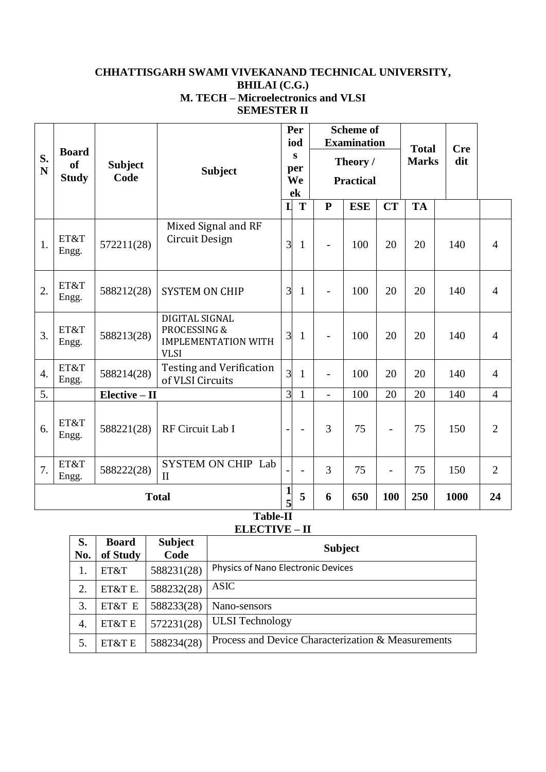### **CHHATTISGARH SWAMI VIVEKANAND TECHNICAL UNIVERSITY, BHILAI (C.G.) M. TECH – Microelectronics and VLSI SEMESTER II**

|                  | <b>Board</b>                  |                        |                                                                             |                      | Per<br>iod               |                              | <b>Scheme of</b><br><b>Examination</b> |                | <b>Total</b> | <b>Cre</b> |                |
|------------------|-------------------------------|------------------------|-----------------------------------------------------------------------------|----------------------|--------------------------|------------------------------|----------------------------------------|----------------|--------------|------------|----------------|
| S.<br>N          | <sub>of</sub><br><b>Study</b> | <b>Subject</b><br>Code | <b>Subject</b>                                                              | S<br>per<br>We<br>ek |                          | Theory /<br><b>Practical</b> |                                        |                | <b>Marks</b> | dit        |                |
|                  |                               |                        |                                                                             |                      | T                        | ${\bf P}$                    | <b>ESE</b>                             | <b>CT</b>      | <b>TA</b>    |            |                |
| 1.               | ET&T<br>Engg.                 | 572211(28)             | Mixed Signal and RF<br>Circuit Design                                       | 3                    | $\mathbf{1}$             | $\overline{\phantom{0}}$     | 100                                    | 20             | 20           | 140        | $\overline{4}$ |
| 2.               | ET&T<br>Engg.                 | 588212(28)             | <b>SYSTEM ON CHIP</b>                                                       | 3                    | $\mathbf{1}$             | $\overline{a}$               | 100                                    | 20             | 20           | 140        | $\overline{4}$ |
| $\overline{3}$ . | ET&T<br>Engg.                 | 588213(28)             | DIGITAL SIGNAL<br>PROCESSING &<br><b>IMPLEMENTATION WITH</b><br><b>VLSI</b> | 3                    | $\mathbf{1}$             | $\overline{\phantom{0}}$     | 100                                    | 20             | 20           | 140        | $\overline{4}$ |
| $\overline{4}$ . | ET&T<br>Engg.                 | 588214(28)             | <b>Testing and Verification</b><br>of VLSI Circuits                         | $\overline{3}$       | $\mathbf{1}$             | $\overline{\phantom{0}}$     | 100                                    | 20             | 20           | 140        | $\overline{4}$ |
| 5.               |                               | Elective - II          |                                                                             | $\overline{3}$       | $\mathbf{1}$             | $\overline{a}$               | 100                                    | 20             | 20           | 140        | $\overline{4}$ |
| 6.               | ET&T<br>Engg.                 | 588221(28)             | RF Circuit Lab I                                                            |                      | $\overline{\phantom{0}}$ | 3                            | 75                                     |                | 75           | 150        | 2              |
| 7.               | ET&T<br>Engg.                 | 588222(28)             | <b>SYSTEM ON CHIP Lab</b><br>$\mathbf{I}$                                   |                      | $\overline{a}$           | 3                            | 75                                     | $\overline{a}$ | 75           | 150        | $\overline{2}$ |
|                  |                               | <b>Total</b>           | 1<br>5                                                                      | 5                    | 6                        | 650                          | 100                                    | 250            | 1000         | 24         |                |

**Table-II ELECTIVE – II** 

 $\overline{\phantom{0}}$ 

| S.<br>No. | <b>Board</b><br>of Study | <b>Subject</b><br>Code | <b>Subject</b>                                     |
|-----------|--------------------------|------------------------|----------------------------------------------------|
|           | ET&T                     | 588231(28)             | Physics of Nano Electronic Devices                 |
| 2.        | ET&T E.                  | 588232(28)             | <b>ASIC</b>                                        |
| 3.        | ET&T E                   | 588233(28)             | Nano-sensors                                       |
| 4.        | ET&T E                   | 572231(28)             | <b>ULSI</b> Technology                             |
| 5.        | ET&T E                   | 588234(28)             | Process and Device Characterization & Measurements |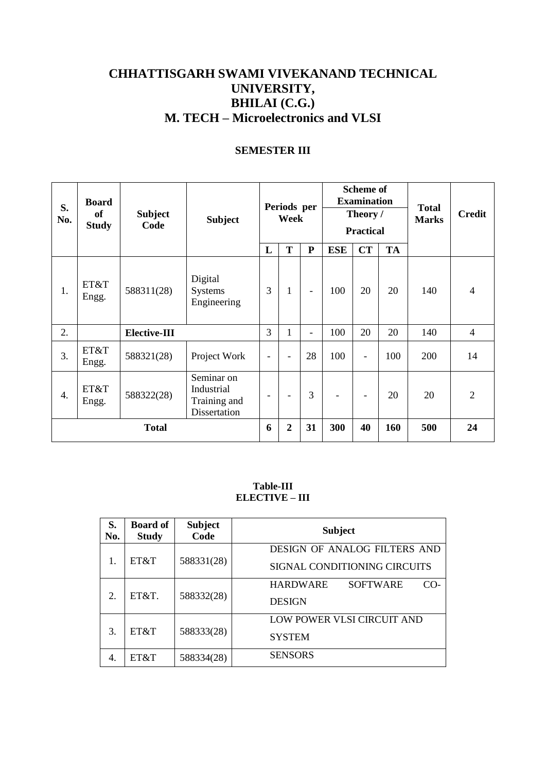# **CHHATTISGARH SWAMI VIVEKANAND TECHNICAL UNIVERSITY, BHILAI (C.G.) M. TECH – Microelectronics and VLSI**

### **SEMESTER III**

| S.<br>No.    | <b>Board</b><br><b>of</b><br><b>Study</b> | <b>Subject</b><br>Code | <b>Subject</b>                                           | Periods per<br>Week      |                | <b>Scheme of</b><br><b>Examination</b><br>Theory /<br><b>Practical</b> |            |    | <b>Total</b><br><b>Marks</b> | <b>Credit</b> |                |
|--------------|-------------------------------------------|------------------------|----------------------------------------------------------|--------------------------|----------------|------------------------------------------------------------------------|------------|----|------------------------------|---------------|----------------|
|              |                                           |                        |                                                          | L                        | T              | ${\bf P}$                                                              | <b>ESE</b> | CT | <b>TA</b>                    |               |                |
| 1.           | ET&T<br>Engg.                             | 588311(28)             | Digital<br>Systems<br>Engineering                        | 3                        | $\mathbf{1}$   | $\overline{\phantom{a}}$                                               | 100        | 20 | 20                           | 140           | $\overline{4}$ |
| 2.           |                                           | <b>Elective-III</b>    |                                                          | 3                        | 1              | -                                                                      | 100        | 20 | 20                           | 140           | $\overline{4}$ |
| 3.           | ET&T<br>Engg.                             | 588321(28)             | Project Work                                             | $\overline{\phantom{a}}$ | ۰              | 28                                                                     | 100        | ۰  | 100                          | 200           | 14             |
| 4.           | ET&T<br>Engg.                             | 588322(28)             | Seminar on<br>Industrial<br>Training and<br>Dissertation | $\overline{\phantom{a}}$ |                | 3                                                                      |            | -  | 20                           | 20            | $\overline{2}$ |
| <b>Total</b> |                                           |                        |                                                          | 6                        | $\overline{2}$ | 31                                                                     | 300        | 40 | 160                          | 500           | 24             |

#### **Table-III ELECTIVE – III**

| S.<br>No. | <b>Board of</b><br><b>Study</b> | <b>Subject</b><br>Code | <b>Subject</b>                              |
|-----------|---------------------------------|------------------------|---------------------------------------------|
|           |                                 |                        | DESIGN OF ANALOG FILTERS AND                |
| 1.        | ET&T                            | 588331(28)             | SIGNAL CONDITIONING CIRCUITS                |
|           |                                 |                        | <b>HARDWARE</b><br><b>SOFTWARE</b><br>$CO-$ |
| 2.        | ET&T.                           | 588332(28)             | <b>DESIGN</b>                               |
|           |                                 |                        | LOW POWER VLSI CIRCUIT AND                  |
| 3.        | ET&T                            | 588333(28)             | <b>SYSTEM</b>                               |
| 4.        | ET&T                            | 588334(28)             | <b>SENSORS</b>                              |